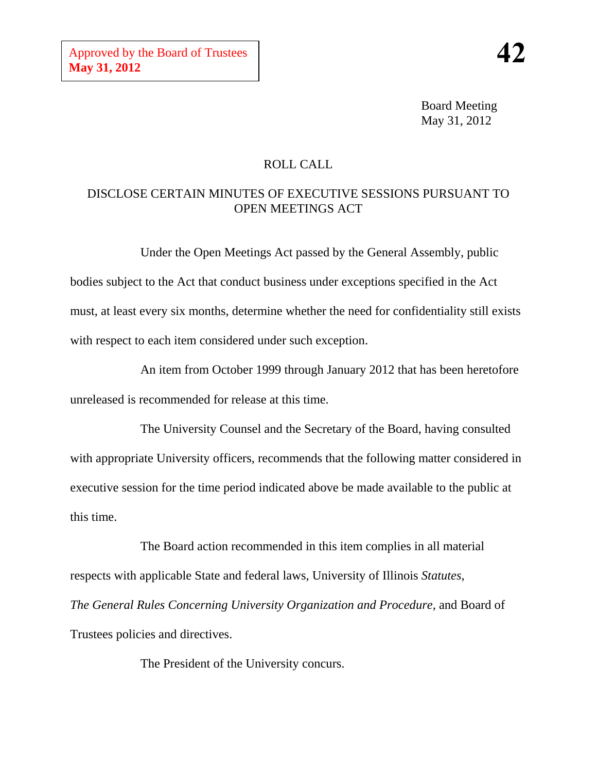Board Meeting May 31, 2012

## ROLL CALL

# DISCLOSE CERTAIN MINUTES OF EXECUTIVE SESSIONS PURSUANT TO OPEN MEETINGS ACT

Under the Open Meetings Act passed by the General Assembly, public bodies subject to the Act that conduct business under exceptions specified in the Act must, at least every six months, determine whether the need for confidentiality still exists with respect to each item considered under such exception.

An item from October 1999 through January 2012 that has been heretofore unreleased is recommended for release at this time.

The University Counsel and the Secretary of the Board, having consulted with appropriate University officers, recommends that the following matter considered in executive session for the time period indicated above be made available to the public at this time.

The Board action recommended in this item complies in all material respects with applicable State and federal laws, University of Illinois *Statutes*, *The General Rules Concerning University Organization and Procedure*, and Board of Trustees policies and directives.

The President of the University concurs.